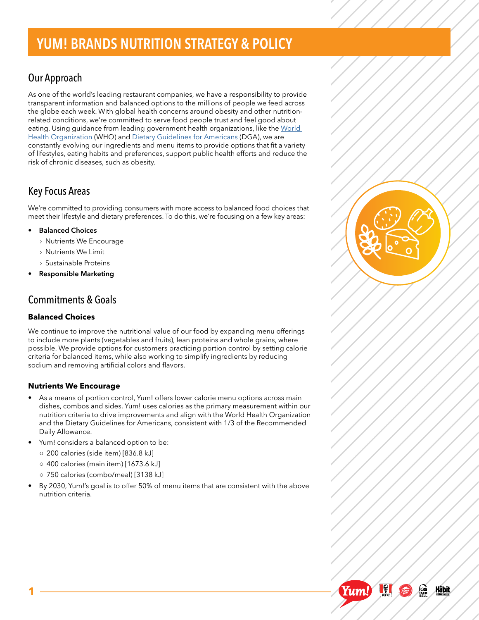# YUM! BRANDS NUTRITION STRATEGY & POLICY

# Our Approach

As one of the world's leading restaurant companies, we have a responsibility to provide transparent information and balanced options to the millions of people we feed across the globe each week. With global health concerns around obesity and other nutritionrelated conditions, we're committed to serve food people trust and feel good about eating. Using guidance from leading government health organizations, like the World [Health Organization](https://www.who.int/) (WHO) and [Dietary Guidelines for Americans](https://www.dietaryguidelines.gov/) (DGA), we are constantly evolving our ingredients and menu items to provide options that fit a variety of lifestyles, eating habits and preferences, support public health efforts and reduce the risk of chronic diseases, such as obesity.

## Key Focus Areas

We're committed to providing consumers with more access to balanced food choices that meet their lifestyle and dietary preferences. To do this, we're focusing on a few key areas:

- **• Balanced Choices**
	- › Nutrients We Encourage
	- › Nutrients We Limit
	- › Sustainable Proteins
- **• Responsible Marketing**

## Commitments & Goals

### **Balanced Choices**

We continue to improve the nutritional value of our food by expanding menu offerings to include more plants (vegetables and fruits), lean proteins and whole grains, where possible. We provide options for customers practicing portion control by setting calorie criteria for balanced items, while also working to simplify ingredients by reducing sodium and removing artificial colors and flavors.

### **Nutrients We Encourage**

- As a means of portion control, Yum! offers lower calorie menu options across main dishes, combos and sides. Yum! uses calories as the primary measurement within our nutrition criteria to drive improvements and align with the World Health Organization and the Dietary Guidelines for Americans, consistent with 1/3 of the Recommended Daily Allowance.
- Yum! considers a balanced option to be:
	- 200 calories (side item) [836.8 kJ]
	- 400 calories (main item) [1673.6 kJ]
	- 750 calories (combo/meal) [3138 kJ]
- By 2030, Yum!'s goal is to offer 50% of menu items that are consistent with the above nutrition criteria.



 $\mathbb{R}$ 

Pizze

Yum!

 $\frac{1}{2}$ 

<u>Håbit</u>

**1**